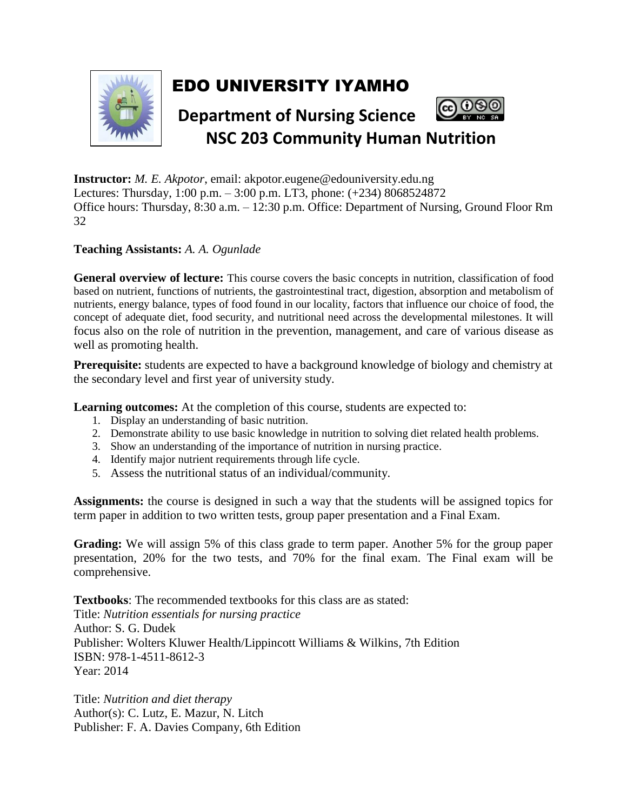

## EDO UNIVERSITY IYAMHO



**Instructor:** *M. E. Akpotor*, email: akpotor.eugene@edouniversity.edu.ng Lectures: Thursday, 1:00 p.m. – 3:00 p.m. LT3, phone: (+234) 8068524872 Office hours: Thursday, 8:30 a.m. – 12:30 p.m. Office: Department of Nursing, Ground Floor Rm 32

## **Teaching Assistants:** *A. A. Ogunlade*

**General overview of lecture:** This course covers the basic concepts in nutrition, classification of food based on nutrient, functions of nutrients, the gastrointestinal tract, digestion, absorption and metabolism of nutrients, energy balance, types of food found in our locality, factors that influence our choice of food, the concept of adequate diet, food security, and nutritional need across the developmental milestones. It will focus also on the role of nutrition in the prevention, management, and care of various disease as well as promoting health.

**Prerequisite:** students are expected to have a background knowledge of biology and chemistry at the secondary level and first year of university study.

**Learning outcomes:** At the completion of this course, students are expected to:

- 1. Display an understanding of basic nutrition.
- 2. Demonstrate ability to use basic knowledge in nutrition to solving diet related health problems.
- 3. Show an understanding of the importance of nutrition in nursing practice.
- 4. Identify major nutrient requirements through life cycle.
- 5. Assess the nutritional status of an individual/community.

**Assignments:** the course is designed in such a way that the students will be assigned topics for term paper in addition to two written tests, group paper presentation and a Final Exam.

**Grading:** We will assign 5% of this class grade to term paper. Another 5% for the group paper presentation, 20% for the two tests, and 70% for the final exam. The Final exam will be comprehensive.

**Textbooks**: The recommended textbooks for this class are as stated: Title: *Nutrition essentials for nursing practice* Author: S. G. Dudek Publisher: Wolters Kluwer Health/Lippincott Williams & Wilkins, 7th Edition ISBN: 978-1-4511-8612-3 Year: 2014

Title: *Nutrition and diet therapy* Author(s): C. Lutz, E. Mazur, N. Litch Publisher: F. A. Davies Company, 6th Edition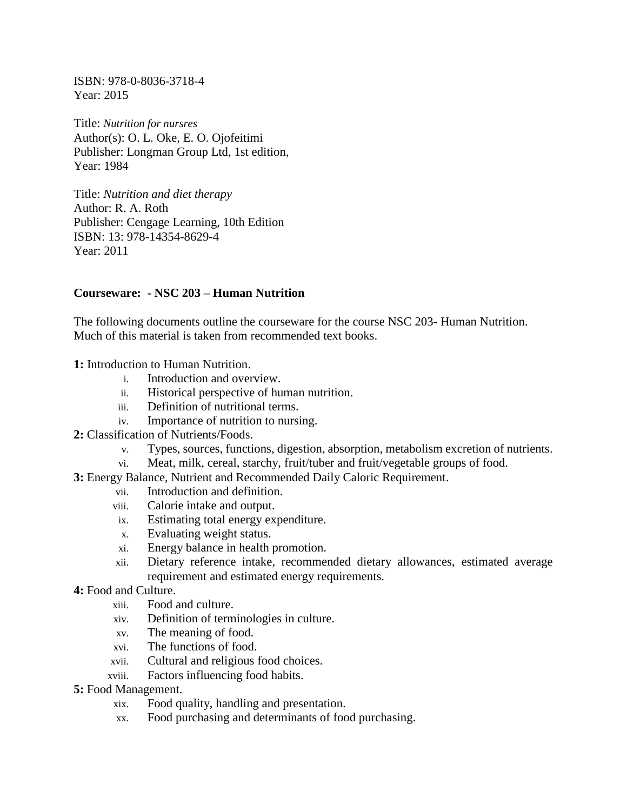ISBN: 978-0-8036-3718-4 Year: 2015

Title: *Nutrition for nursres*  Author(s): O. L. Oke, E. O. Ojofeitimi Publisher: Longman Group Ltd, 1st edition, Year: 1984

Title: *Nutrition and diet therapy* Author: R. A. Roth Publisher: Cengage Learning, 10th Edition ISBN: 13: 978-14354-8629-4 Year: 2011

## **Courseware: - NSC 203 – Human Nutrition**

The following documents outline the courseware for the course NSC 203- Human Nutrition. Much of this material is taken from recommended text books.

- **1:** Introduction to Human Nutrition.
	- i. Introduction and overview.
	- ii. Historical perspective of human nutrition.
	- iii. Definition of nutritional terms.
	- iv. Importance of nutrition to nursing.
- **2:** Classification of Nutrients/Foods.
	- v. Types, sources, functions, digestion, absorption, metabolism excretion of nutrients.
	- vi. Meat, milk, cereal, starchy, fruit/tuber and fruit/vegetable groups of food.
- **3:** Energy Balance, Nutrient and Recommended Daily Caloric Requirement.
	- vii. Introduction and definition.
	- viii. Calorie intake and output.
	- ix. Estimating total energy expenditure.
	- x. Evaluating weight status.
	- xi. Energy balance in health promotion.
	- xii. Dietary reference intake, recommended dietary allowances, estimated average requirement and estimated energy requirements.
- **4:** Food and Culture.
	- xiii. Food and culture.
	- xiv. Definition of terminologies in culture.
	- xv. The meaning of food.
	- xvi. The functions of food.
	- xvii. Cultural and religious food choices.
	- xviii. Factors influencing food habits.
- **5:** Food Management.
	- xix. Food quality, handling and presentation.
	- xx. Food purchasing and determinants of food purchasing.